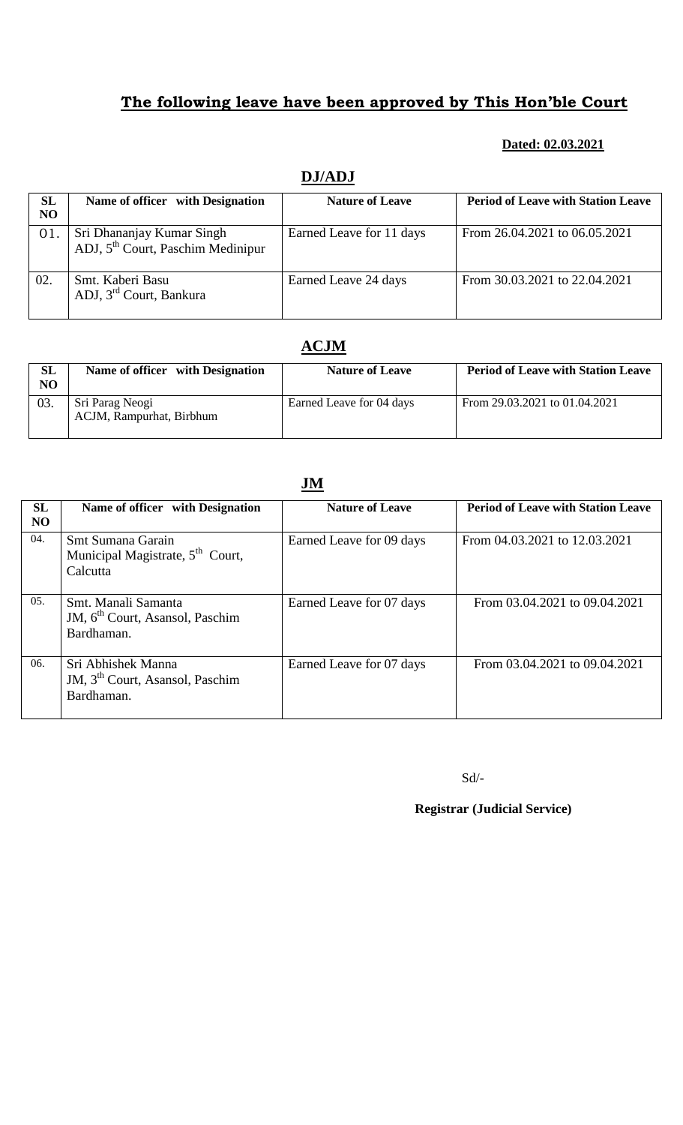#### **Dated: 02.03.2021**

| <i>b</i> uitru |                                                                            |                          |                                           |  |
|----------------|----------------------------------------------------------------------------|--------------------------|-------------------------------------------|--|
| SL             | Name of officer with Designation                                           | <b>Nature of Leave</b>   | <b>Period of Leave with Station Leave</b> |  |
| NO             |                                                                            |                          |                                           |  |
| 01.            | Sri Dhananjay Kumar Singh<br>ADJ, $5^{\text{th}}$ Court, Paschim Medinipur | Earned Leave for 11 days | From 26.04.2021 to 06.05.2021             |  |
| 02.            | Smt. Kaberi Basu<br>ADJ, 3 <sup>rd</sup> Court, Bankura                    | Earned Leave 24 days     | From 30.03.2021 to 22.04.2021             |  |

## **DJ/ADJ**

# **ACJM**

| SL<br>NO. | Name of officer with Designation            | <b>Nature of Leave</b>   | <b>Period of Leave with Station Leave</b> |
|-----------|---------------------------------------------|--------------------------|-------------------------------------------|
| 03.       | Sri Parag Neogi<br>ACJM, Rampurhat, Birbhum | Earned Leave for 04 days | From 29.03.2021 to 01.04.2021             |

### **JM**

| <b>SL</b><br>N <sub>O</sub> | Name of officer with Designation                                                 | <b>Nature of Leave</b>   | <b>Period of Leave with Station Leave</b> |
|-----------------------------|----------------------------------------------------------------------------------|--------------------------|-------------------------------------------|
| 04.                         | Smt Sumana Garain<br>Municipal Magistrate, 5 <sup>th</sup> Court,<br>Calcutta    | Earned Leave for 09 days | From 04.03.2021 to 12.03.2021             |
| 05.                         | Smt. Manali Samanta<br>JM, 6 <sup>th</sup> Court, Asansol, Paschim<br>Bardhaman. | Earned Leave for 07 days | From 03.04.2021 to 09.04.2021             |
| 06.                         | Sri Abhishek Manna<br>JM, 3 <sup>th</sup> Court, Asansol, Paschim<br>Bardhaman.  | Earned Leave for 07 days | From 03.04.2021 to 09.04.2021             |

Sd/-

 **Registrar (Judicial Service)**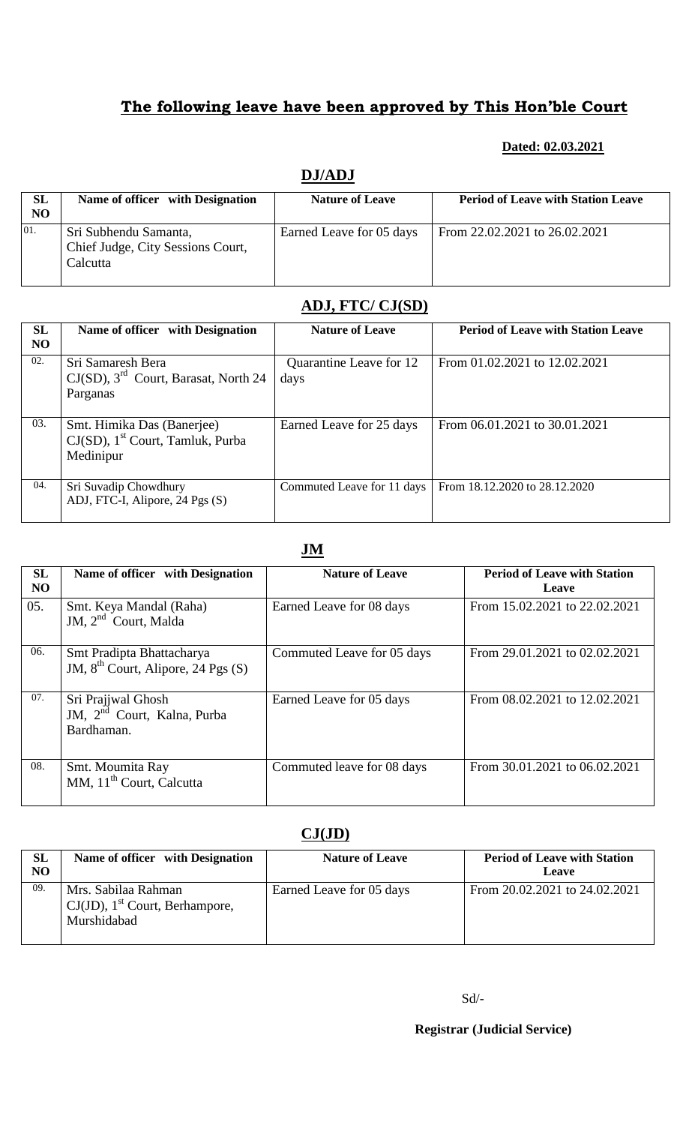### **Dated: 02.03.2021**

## **DJ/ADJ**

| <b>SL</b><br>NO | Name of officer with Designation                                       | <b>Nature of Leave</b>   | <b>Period of Leave with Station Leave</b> |
|-----------------|------------------------------------------------------------------------|--------------------------|-------------------------------------------|
| 01.             | Sri Subhendu Samanta,<br>Chief Judge, City Sessions Court,<br>Calcutta | Earned Leave for 05 days | From 22.02.2021 to 26.02.2021             |

# **ADJ, FTC/ CJ(SD)**

| <b>SL</b><br>N <sub>O</sub> | Name of officer with Designation                                                           | <b>Nature of Leave</b>          | <b>Period of Leave with Station Leave</b> |
|-----------------------------|--------------------------------------------------------------------------------------------|---------------------------------|-------------------------------------------|
| 02.                         | Sri Samaresh Bera<br>$CJ(SD)$ , 3 <sup>rd</sup> Court, Barasat, North 24<br>Parganas       | Quarantine Leave for 12<br>days | From 01.02.2021 to 12.02.2021             |
| 03.                         | Smt. Himika Das (Banerjee)<br>$CJ(SD)$ , 1 <sup>st</sup> Court, Tamluk, Purba<br>Medinipur | Earned Leave for 25 days        | From 06.01.2021 to 30.01.2021             |
| 04.                         | Sri Suvadip Chowdhury<br>ADJ, FTC-I, Alipore, 24 Pgs (S)                                   | Commuted Leave for 11 days      | From 18.12.2020 to 28.12.2020             |

## **JM**

| <b>SL</b><br>N <sub>O</sub> | Name of officer with Designation                                            | <b>Nature of Leave</b>     | <b>Period of Leave with Station</b><br>Leave |
|-----------------------------|-----------------------------------------------------------------------------|----------------------------|----------------------------------------------|
| 05.                         | Smt. Keya Mandal (Raha)<br>JM, $2nd$ Court, Malda                           | Earned Leave for 08 days   | From 15.02.2021 to 22.02.2021                |
| 06.                         | Smt Pradipta Bhattacharya<br>JM, $8th$ Court, Alipore, 24 Pgs (S)           | Commuted Leave for 05 days | From 29.01.2021 to 02.02.2021                |
| 07.                         | Sri Prajjwal Ghosh<br>JM, 2 <sup>nd</sup> Court, Kalna, Purba<br>Bardhaman. | Earned Leave for 05 days   | From 08.02.2021 to 12.02.2021                |
| 08.                         | Smt. Moumita Ray<br>MM, 11 <sup>th</sup> Court, Calcutta                    | Commuted leave for 08 days | From 30.01.2021 to 06.02.2021                |

# **CJ(JD)**

| <b>SL</b><br>N <sub>O</sub> | Name of officer with Designation                                                    | <b>Nature of Leave</b>   | <b>Period of Leave with Station</b><br>Leave |
|-----------------------------|-------------------------------------------------------------------------------------|--------------------------|----------------------------------------------|
| 09.                         | Mrs. Sabilaa Rahman<br>$CJ(JD)$ , 1 <sup>st</sup> Court, Berhampore,<br>Murshidabad | Earned Leave for 05 days | From 20.02.2021 to 24.02.2021                |

 **Registrar (Judicial Service)**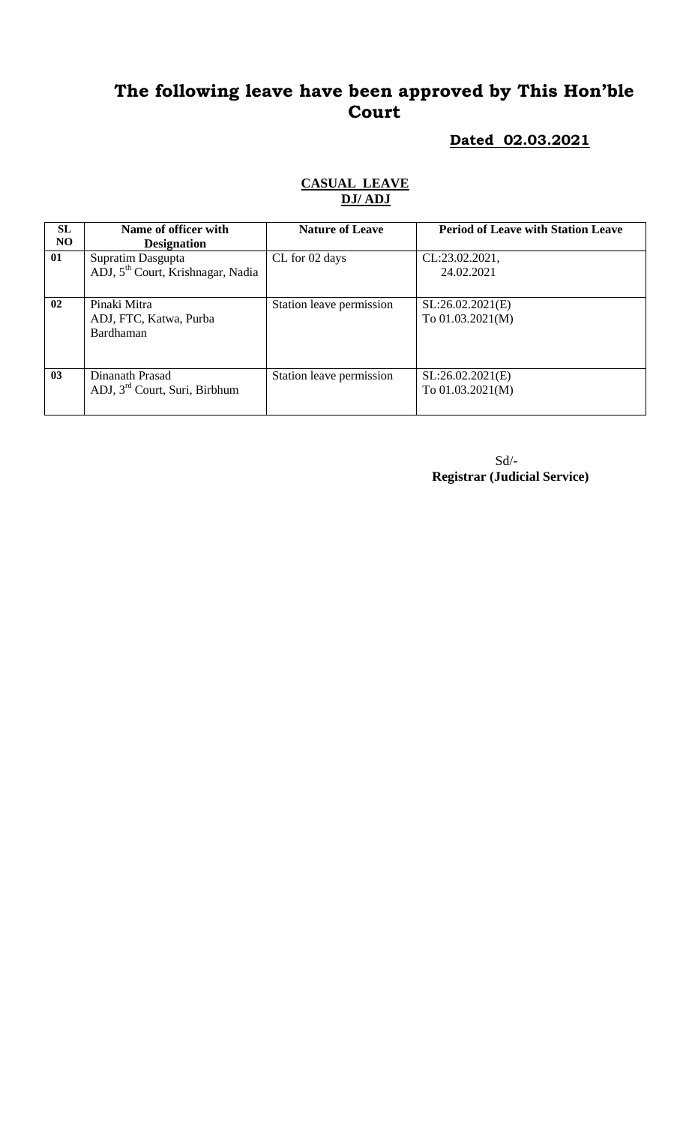### **Dated 02.03.2021**

## **CASUAL LEAVE DJ/ ADJ**

| <b>SL</b><br>NO. | Name of officer with<br><b>Designation</b>                         | <b>Nature of Leave</b>   | <b>Period of Leave with Station Leave</b> |
|------------------|--------------------------------------------------------------------|--------------------------|-------------------------------------------|
| 01               | Supratim Dasgupta<br>ADJ, 5 <sup>th</sup> Court, Krishnagar, Nadia | CL for 02 days           | CL:23.02.2021,<br>24.02.2021              |
| 02               | Pinaki Mitra<br>ADJ, FTC, Katwa, Purba<br><b>Bardhaman</b>         | Station leave permission | SL:26.02.2021(E)<br>To $01.03.2021(M)$    |
| 03               | Dinanath Prasad<br>ADJ, $3rd$ Court, Suri, Birbhum                 | Station leave permission | SL:26.02.2021(E)<br>To $01.03.2021(M)$    |

 Sd/- **Registrar (Judicial Service)**